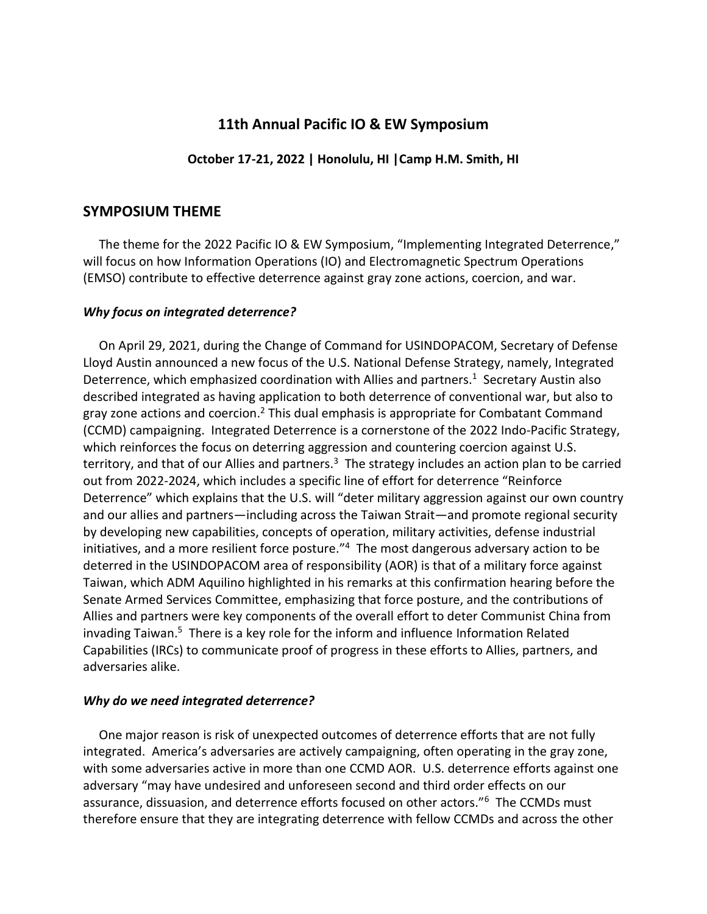# **11th Annual Pacific IO & EW Symposium**

**October 17-21, 2022 | Honolulu, HI |Camp H.M. Smith, HI**

# **SYMPOSIUM THEME**

 The theme for the 2022 Pacific IO & EW Symposium, "Implementing Integrated Deterrence," will focus on how Information Operations (IO) and Electromagnetic Spectrum Operations (EMSO) contribute to effective deterrence against gray zone actions, coercion, and war.

## *Why focus on integrated deterrence?*

 On April 29, 2021, during the Change of Command for USINDOPACOM, Secretary of Defense Lloyd Austin announced a new focus of the U.S. National Defense Strategy, namely, Integrated Deterrence, which emphasized coordination with Allies and partners.<sup>1</sup> Secretary Austin also described integrated as having application to both deterrence of conventional war, but also to gray zone actions and coercion.<sup>2</sup> This dual emphasis is appropriate for Combatant Command (CCMD) campaigning. Integrated Deterrence is a cornerstone of the 2022 Indo-Pacific Strategy, which reinforces the focus on deterring aggression and countering coercion against U.S. territory, and that of our Allies and partners.<sup>3</sup> The strategy includes an action plan to be carried out from 2022-2024, which includes a specific line of effort for deterrence "Reinforce Deterrence" which explains that the U.S. will "deter military aggression against our own country and our allies and partners—including across the Taiwan Strait—and promote regional security by developing new capabilities, concepts of operation, military activities, defense industrial initiatives, and a more resilient force posture."<sup>4</sup> The most dangerous adversary action to be deterred in the USINDOPACOM area of responsibility (AOR) is that of a military force against Taiwan, which ADM Aquilino highlighted in his remarks at this confirmation hearing before the Senate Armed Services Committee, emphasizing that force posture, and the contributions of Allies and partners were key components of the overall effort to deter Communist China from invading Taiwan.<sup>5</sup> There is a key role for the inform and influence Information Related Capabilities (IRCs) to communicate proof of progress in these efforts to Allies, partners, and adversaries alike.

## *Why do we need integrated deterrence?*

One major reason is risk of unexpected outcomes of deterrence efforts that are not fully integrated. America's adversaries are actively campaigning, often operating in the gray zone, with some adversaries active in more than one CCMD AOR. U.S. deterrence efforts against one adversary "may have undesired and unforeseen second and third order effects on our assurance, dissuasion, and deterrence efforts focused on other actors."<sup>6</sup> The CCMDs must therefore ensure that they are integrating deterrence with fellow CCMDs and across the other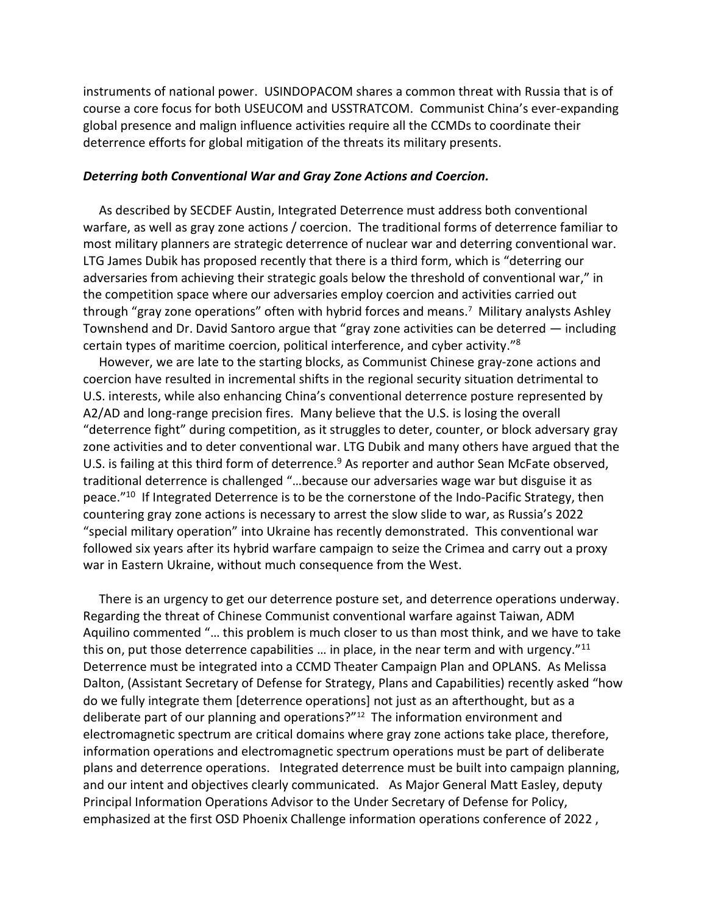instruments of national power. USINDOPACOM shares a common threat with Russia that is of course a core focus for both USEUCOM and USSTRATCOM. Communist China's ever-expanding global presence and malign influence activities require all the CCMDs to coordinate their deterrence efforts for global mitigation of the threats its military presents.

#### *Deterring both Conventional War and Gray Zone Actions and Coercion.*

 As described by SECDEF Austin, Integrated Deterrence must address both conventional warfare, as well as gray zone actions / coercion. The traditional forms of deterrence familiar to most military planners are strategic deterrence of nuclear war and deterring conventional war. LTG James Dubik has proposed recently that there is a third form, which is "deterring our adversaries from achieving their strategic goals below the threshold of conventional war," in the competition space where our adversaries employ coercion and activities carried out through "gray zone operations" often with hybrid forces and means.<sup>7</sup> Military analysts Ashley Townshend and Dr. David Santoro argue that "gray zone activities can be deterred — including certain types of maritime coercion, political interference, and cyber activity."<sup>8</sup>

 However, we are late to the starting blocks, as Communist Chinese gray-zone actions and coercion have resulted in incremental shifts in the regional security situation detrimental to U.S. interests, while also enhancing China's conventional deterrence posture represented by A2/AD and long-range precision fires. Many believe that the U.S. is losing the overall "deterrence fight" during competition, as it struggles to deter, counter, or block adversary gray zone activities and to deter conventional war. LTG Dubik and many others have argued that the U.S. is failing at this third form of deterrence.<sup>9</sup> As reporter and author Sean McFate observed, traditional deterrence is challenged "…because our adversaries wage war but disguise it as peace."<sup>10</sup> If Integrated Deterrence is to be the cornerstone of the Indo-Pacific Strategy, then countering gray zone actions is necessary to arrest the slow slide to war, as Russia's 2022 "special military operation" into Ukraine has recently demonstrated. This conventional war followed six years after its hybrid warfare campaign to seize the Crimea and carry out a proxy war in Eastern Ukraine, without much consequence from the West.

 There is an urgency to get our deterrence posture set, and deterrence operations underway. Regarding the threat of Chinese Communist conventional warfare against Taiwan, ADM Aquilino commented "… this problem is much closer to us than most think, and we have to take this on, put those deterrence capabilities ... in place, in the near term and with urgency."<sup>11</sup> Deterrence must be integrated into a CCMD Theater Campaign Plan and OPLANS. As Melissa Dalton, (Assistant Secretary of Defense for Strategy, Plans and Capabilities) recently asked "how do we fully integrate them [deterrence operations] not just as an afterthought, but as a deliberate part of our planning and operations?"<sup>12</sup> The information environment and electromagnetic spectrum are critical domains where gray zone actions take place, therefore, information operations and electromagnetic spectrum operations must be part of deliberate plans and deterrence operations. Integrated deterrence must be built into campaign planning, and our intent and objectives clearly communicated. As Major General Matt Easley, deputy Principal Information Operations Advisor to the Under Secretary of Defense for Policy, emphasized at the first OSD Phoenix Challenge information operations conference of 2022 ,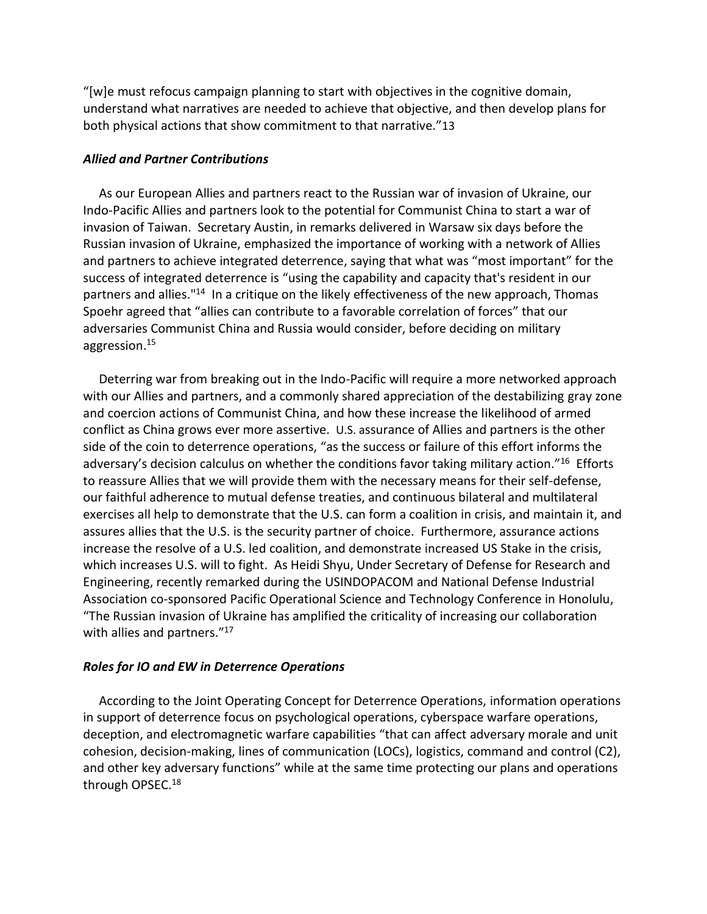"[w]e must refocus campaign planning to start with objectives in the cognitive domain, understand what narratives are needed to achieve that objective, and then develop plans for both physical actions that show commitment to that narrative."13

### *Allied and Partner Contributions*

 As our European Allies and partners react to the Russian war of invasion of Ukraine, our Indo-Pacific Allies and partners look to the potential for Communist China to start a war of invasion of Taiwan. Secretary Austin, in remarks delivered in Warsaw six days before the Russian invasion of Ukraine, emphasized the importance of working with a network of Allies and partners to achieve integrated deterrence, saying that what was "most important" for the success of integrated deterrence is "using the capability and capacity that's resident in our partners and allies."<sup>14</sup> In a critique on the likely effectiveness of the new approach, Thomas Spoehr agreed that "allies can contribute to a favorable correlation of forces" that our adversaries Communist China and Russia would consider, before deciding on military aggression.<sup>15</sup>

 Deterring war from breaking out in the Indo-Pacific will require a more networked approach with our Allies and partners, and a commonly shared appreciation of the destabilizing gray zone and coercion actions of Communist China, and how these increase the likelihood of armed conflict as China grows ever more assertive. U.S. assurance of Allies and partners is the other side of the coin to deterrence operations, "as the success or failure of this effort informs the adversary's decision calculus on whether the conditions favor taking military action."<sup>16</sup> Efforts to reassure Allies that we will provide them with the necessary means for their self-defense, our faithful adherence to mutual defense treaties, and continuous bilateral and multilateral exercises all help to demonstrate that the U.S. can form a coalition in crisis, and maintain it, and assures allies that the U.S. is the security partner of choice. Furthermore, assurance actions increase the resolve of a U.S. led coalition, and demonstrate increased US Stake in the crisis, which increases U.S. will to fight. As Heidi Shyu, Under Secretary of Defense for Research and Engineering, recently remarked during the USINDOPACOM and National Defense Industrial Association co-sponsored Pacific Operational Science and Technology Conference in Honolulu, "The Russian invasion of Ukraine has amplified the criticality of increasing our collaboration with allies and partners."<sup>17</sup>

### *Roles for IO and EW in Deterrence Operations*

 According to the Joint Operating Concept for Deterrence Operations, information operations in support of deterrence focus on psychological operations, cyberspace warfare operations, deception, and electromagnetic warfare capabilities "that can affect adversary morale and unit cohesion, decision-making, lines of communication (LOCs), logistics, command and control (C2), and other key adversary functions" while at the same time protecting our plans and operations through OPSEC.<sup>18</sup>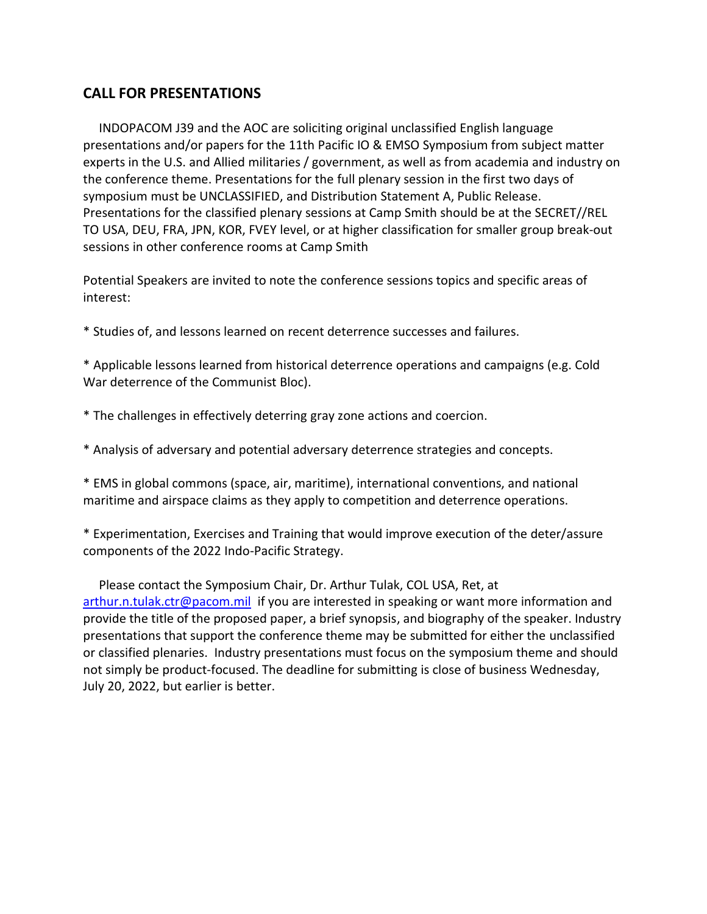# **CALL FOR PRESENTATIONS**

 INDOPACOM J39 and the AOC are soliciting original unclassified English language presentations and/or papers for the 11th Pacific IO & EMSO Symposium from subject matter experts in the U.S. and Allied militaries / government, as well as from academia and industry on the conference theme. Presentations for the full plenary session in the first two days of symposium must be UNCLASSIFIED, and Distribution Statement A, Public Release. Presentations for the classified plenary sessions at Camp Smith should be at the SECRET//REL TO USA, DEU, FRA, JPN, KOR, FVEY level, or at higher classification for smaller group break-out sessions in other conference rooms at Camp Smith

Potential Speakers are invited to note the conference sessions topics and specific areas of interest:

\* Studies of, and lessons learned on recent deterrence successes and failures.

\* Applicable lessons learned from historical deterrence operations and campaigns (e.g. Cold War deterrence of the Communist Bloc).

\* The challenges in effectively deterring gray zone actions and coercion.

\* Analysis of adversary and potential adversary deterrence strategies and concepts.

\* EMS in global commons (space, air, maritime), international conventions, and national maritime and airspace claims as they apply to competition and deterrence operations.

\* Experimentation, Exercises and Training that would improve execution of the deter/assure components of the 2022 Indo-Pacific Strategy.

 Please contact the Symposium Chair, Dr. Arthur Tulak, COL USA, Ret, at [arthur.n.tulak.ctr@pacom.mil](mailto:arthur.n.tulak.ctr@pacom.mil) if you are interested in speaking or want more information and provide the title of the proposed paper, a brief synopsis, and biography of the speaker. Industry presentations that support the conference theme may be submitted for either the unclassified or classified plenaries. Industry presentations must focus on the symposium theme and should not simply be product-focused. The deadline for submitting is close of business Wednesday, July 20, 2022, but earlier is better.